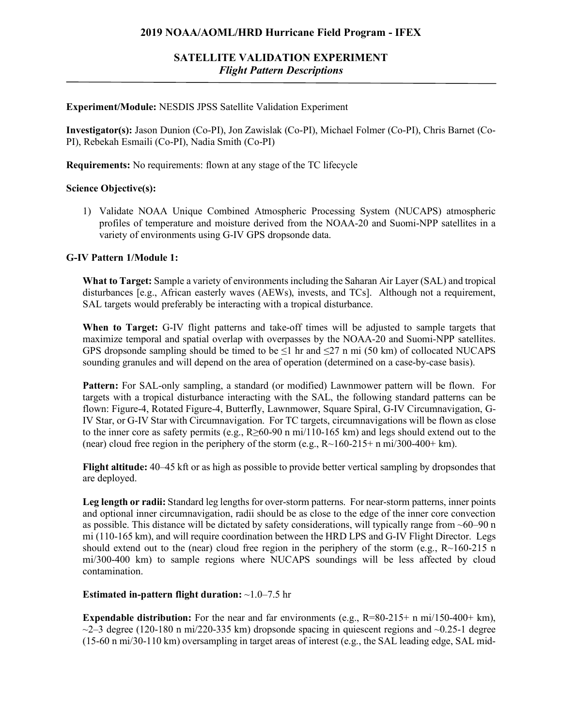### **2019 NOAA/AOML/HRD Hurricane Field Program - IFEX**

## **SATELLITE VALIDATION EXPERIMENT** *Flight Pattern Descriptions*

#### **Experiment/Module:** NESDIS JPSS Satellite Validation Experiment

**Investigator(s):** Jason Dunion (Co-PI), Jon Zawislak (Co-PI), Michael Folmer (Co-PI), Chris Barnet (Co-PI), Rebekah Esmaili (Co-PI), Nadia Smith (Co-PI)

**Requirements:** No requirements: flown at any stage of the TC lifecycle

#### **Science Objective(s):**

1) Validate NOAA Unique Combined Atmospheric Processing System (NUCAPS) atmospheric profiles of temperature and moisture derived from the NOAA-20 and Suomi-NPP satellites in a variety of environments using G-IV GPS dropsonde data.

### **G-IV Pattern 1/Module 1:**

**What to Target:** Sample a variety of environments including the Saharan Air Layer (SAL) and tropical disturbances [e.g., African easterly waves (AEWs), invests, and TCs]. Although not a requirement, SAL targets would preferably be interacting with a tropical disturbance.

**When to Target:** G-IV flight patterns and take-off times will be adjusted to sample targets that maximize temporal and spatial overlap with overpasses by the NOAA-20 and Suomi-NPP satellites. GPS dropsonde sampling should be timed to be  $\leq 1$  hr and  $\leq 27$  n mi (50 km) of collocated NUCAPS sounding granules and will depend on the area of operation (determined on a case-by-case basis).

**Pattern:** For SAL-only sampling, a standard (or modified) Lawnmower pattern will be flown. For targets with a tropical disturbance interacting with the SAL, the following standard patterns can be flown: Figure-4, Rotated Figure-4, Butterfly, Lawnmower, Square Spiral, G-IV Circumnavigation, G-IV Star, or G-IV Star with Circumnavigation. For TC targets, circumnavigations will be flown as close to the inner core as safety permits (e.g., R≥60-90 n mi/110-165 km) and legs should extend out to the (near) cloud free region in the periphery of the storm (e.g.,  $R \sim 160-215+n \text{ mi}/300-400+\text{ km}$ ).

**Flight altitude:** 40–45 kft or as high as possible to provide better vertical sampling by dropsondes that are deployed.

Leg length or radii: Standard leg lengths for over-storm patterns. For near-storm patterns, inner points and optional inner circumnavigation, radii should be as close to the edge of the inner core convection as possible. This distance will be dictated by safety considerations, will typically range from ~60–90 n mi (110-165 km), and will require coordination between the HRD LPS and G-IV Flight Director. Legs should extend out to the (near) cloud free region in the periphery of the storm (e.g.,  $R\sim160-215$  n mi/300-400 km) to sample regions where NUCAPS soundings will be less affected by cloud contamination.

### **Estimated in-pattern flight duration:** ~1.0–7.5 hr

**Expendable distribution:** For the near and far environments (e.g., R=80-215+ n mi/150-400+ km),  $\sim$ 2–3 degree (120-180 n mi/220-335 km) dropsonde spacing in quiescent regions and  $\sim$ 0.25-1 degree  $(15-60 \text{ n mi}/30-110 \text{ km})$  oversampling in target areas of interest  $(e.g., the SAL leading edge, SAL mid-$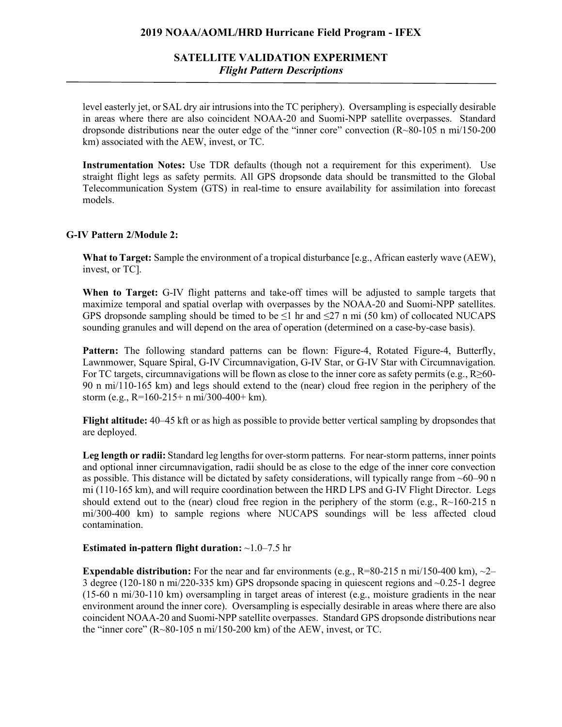### **2019 NOAA/AOML/HRD Hurricane Field Program - IFEX**

## **SATELLITE VALIDATION EXPERIMENT** *Flight Pattern Descriptions*

level easterly jet, or SAL dry air intrusions into the TC periphery). Oversampling is especially desirable in areas where there are also coincident NOAA-20 and Suomi-NPP satellite overpasses. Standard dropsonde distributions near the outer edge of the "inner core" convection (R~80-105 n mi/150-200 km) associated with the AEW, invest, or TC.

**Instrumentation Notes:** Use TDR defaults (though not a requirement for this experiment). Use straight flight legs as safety permits. All GPS dropsonde data should be transmitted to the Global Telecommunication System (GTS) in real-time to ensure availability for assimilation into forecast models.

### **G-IV Pattern 2/Module 2:**

**What to Target:** Sample the environment of a tropical disturbance [e.g., African easterly wave (AEW), invest, or TC].

**When to Target:** G-IV flight patterns and take-off times will be adjusted to sample targets that maximize temporal and spatial overlap with overpasses by the NOAA-20 and Suomi-NPP satellites. GPS dropsonde sampling should be timed to be  $\leq$ 1 hr and  $\leq$ 27 n mi (50 km) of collocated NUCAPS sounding granules and will depend on the area of operation (determined on a case-by-case basis).

**Pattern:** The following standard patterns can be flown: Figure-4, Rotated Figure-4, Butterfly, Lawnmower, Square Spiral, G-IV Circumnavigation, G-IV Star, or G-IV Star with Circumnavigation. For TC targets, circumnavigations will be flown as close to the inner core as safety permits (e.g.,  $R \ge 60$ -90 n mi/110-165 km) and legs should extend to the (near) cloud free region in the periphery of the storm (e.g., R=160-215+ n mi/300-400+ km).

**Flight altitude:** 40–45 kft or as high as possible to provide better vertical sampling by dropsondes that are deployed.

Leg length or radii: Standard leg lengths for over-storm patterns. For near-storm patterns, inner points and optional inner circumnavigation, radii should be as close to the edge of the inner core convection as possible. This distance will be dictated by safety considerations, will typically range from ~60–90 n mi (110-165 km), and will require coordination between the HRD LPS and G-IV Flight Director. Legs should extend out to the (near) cloud free region in the periphery of the storm (e.g.,  $R\sim160-215$  n mi/300-400 km) to sample regions where NUCAPS soundings will be less affected cloud contamination.

### **Estimated in-pattern flight duration:** ~1.0–7.5 hr

**Expendable distribution:** For the near and far environments (e.g.,  $R=80-215$  n mi/150-400 km),  $\sim$ 2– 3 degree (120-180 n mi/220-335 km) GPS dropsonde spacing in quiescent regions and ~0.25-1 degree (15-60 n mi/30-110 km) oversampling in target areas of interest (e.g., moisture gradients in the near environment around the inner core). Oversampling is especially desirable in areas where there are also coincident NOAA-20 and Suomi-NPP satellite overpasses. Standard GPS dropsonde distributions near the "inner core"  $(R~80~105~n~mi/150~200~km)$  of the AEW, invest, or TC.